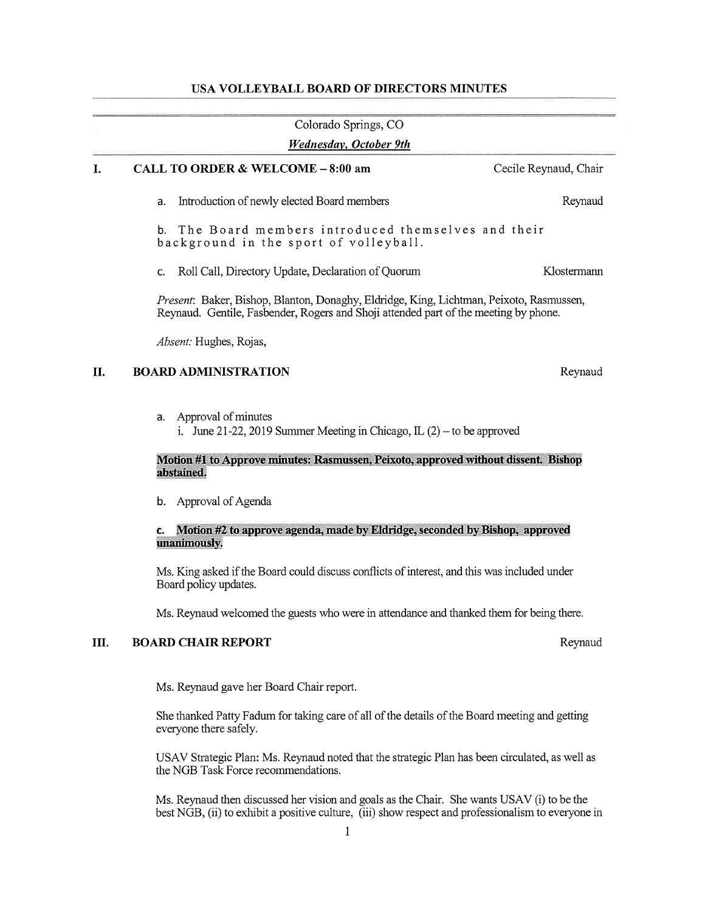# USA VOLLEYBALL BOARD OF DIRECTORS MINUTES

|                                                                                                                                                                                 | Colorado Springs, CO                                                                                                  |                       |  |
|---------------------------------------------------------------------------------------------------------------------------------------------------------------------------------|-----------------------------------------------------------------------------------------------------------------------|-----------------------|--|
|                                                                                                                                                                                 | <b>Wednesday, October 9th</b>                                                                                         |                       |  |
| Ι.                                                                                                                                                                              | CALL TO ORDER & WELCOME - 8:00 am                                                                                     | Cecile Reynaud, Chair |  |
|                                                                                                                                                                                 | Introduction of newly elected Board members<br>a.                                                                     | Reynaud               |  |
|                                                                                                                                                                                 | The Board members introduced themselves and their<br>b.<br>background in the sport of volleyball.                     |                       |  |
|                                                                                                                                                                                 | Roll Call, Directory Update, Declaration of Quorum<br>c.                                                              | Klostermann           |  |
| Present: Baker, Bishop, Blanton, Donaghy, Eldridge, King, Lichtman, Peixoto, Rasmussen,<br>Reynaud. Gentile, Fasbender, Rogers and Shoji attended part of the meeting by phone. |                                                                                                                       |                       |  |
|                                                                                                                                                                                 | Absent: Hughes, Rojas,                                                                                                |                       |  |
| П.                                                                                                                                                                              | <b>BOARD ADMINISTRATION</b>                                                                                           | Reynaud               |  |
|                                                                                                                                                                                 | Approval of minutes<br>a.<br>i. June 21-22, 2019 Summer Meeting in Chicago, $IL(2)$ – to be approved                  |                       |  |
|                                                                                                                                                                                 | Motion #1 to Approve minutes: Rasmussen, Peixoto, approved without dissent. Bishop<br>abstained.                      |                       |  |
|                                                                                                                                                                                 | Approval of Agenda<br>b.                                                                                              |                       |  |
|                                                                                                                                                                                 | Motion #2 to approve agenda, made by Eldridge, seconded by Bishop, approved<br>c.<br>unanimously.                     |                       |  |
|                                                                                                                                                                                 | Ms. King asked if the Board could discuss conflicts of interest, and this was included under<br>Board policy updates. |                       |  |
|                                                                                                                                                                                 | Ms. Reynaud welcomed the guests who were in attendance and thanked them for being there.                              |                       |  |
| Ш.                                                                                                                                                                              | <b>BOARD CHAIR REPORT</b>                                                                                             | Reynaud               |  |
|                                                                                                                                                                                 | Ms. Reynaud gave her Board Chair report.                                                                              |                       |  |

She thanked Patty Fadum for taking care of all of the details of the Board meeting and getting everyone there safely.

USAV Strategic Plan: Ms. Reynaud noted that the strategic Plan has been circulated, as well as the NGB Task Force recommendations.

Ms. Reynaud then discussed her vision and goals as the Chair. She wants USAV (i) to be the best NGB, (ii) to exhibit <sup>a</sup> positive culture, (iii) show respect and professionalism to everyone in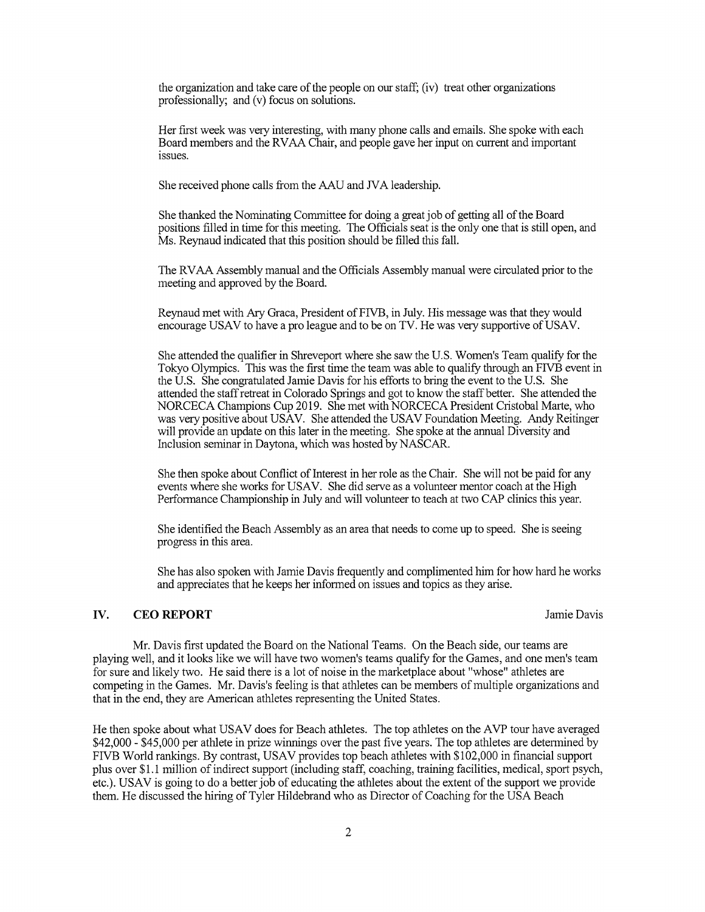the organization and take care of the people on our staff; (iv) treat other organizations professionally; and (v) focus on solutions.

Her first week was very interesting, with many phone calls and emails. She spoke with each Board members and the RVAA Chair, and people gave her input on cuirent and important issues.

She received phone calls from the AAU and NA leadership.

She thanked the Nominating Committee for doing <sup>a</sup> greatjob of getting all of the Board positions filled in time for this meeting. The Officials seat is the only one that is still open, and Ms. Reynaud indicated that this position should be filled this fall.

The RVAA Assembly manual and the Officials Assembly manual were circulated prior to the meeting and approved by the Board.

Reynaud met with Ary Graca, President of FIVB, in July. His message was that they would encourage USAV to have a pro league and to be on TV. He was very supportive of USAV.

She attended the qualifier in Shreveport where she saw the U.S. Women's Team qualify for the Tokyo Olympics. This was the first time the team was able to qualify through an FIVB event in the U.S. She congratulated Jamie Davis for his efforts to bring the event to the U.S. She attended the staff retreat in Colorado Springs and got to know the staff better. She attended the NORCECA Champions Cup 2019. She met with NORCECA President Cristobal Matte, who was very positive about USAV. She attended the USAV Foundation Meeting. Andy Reitinger will provide an update on this later in the meeting. She spoke at the annual Diversity and Inclusion seminar in Daytona, which was hosted by NASCAR.

She then spoke about Conflict of Interest in her role as the Chair. She will not be paid for any events where she works for USAV. She did serve as a volunteer mentor coach at the High Performance Championship in July and will volunteer to teach at two CAP clinics this year.

She identified the Beach Assembly as an area that needs to come up to speed. She is seeing progress in this area.

She has also spoken with Jamie Davis frequently and complimented him for how hard he works and appreciates that he keeps her informed on issues and topics as they arise.

# IV. CEO REPORT Jamie Davis

Mr. Davis first updated the Board on the National Teams. On the Beach side, our teams are playing well, and it looks like we will have two women's teams qualify for the Games, and one men's team for sure and likely two. He said there is <sup>a</sup> lot of noise in the marketplace about "whose" athletes are competing in the Games. Mr. Davis's feeling is that athletes can be members of multiple organizations and that in the end, they are American athletes representing the United States.

He then spoke about what USAV does for Beach athletes. The top athletes on the AVP tour have averaged \$42,000 - \$45,000 per athlete in prize winnings over the past five years. The top athletes are detennined by FIVB World rankings. By contrast, USAV provides top beach athletes with \$102,000 in financial support plus over \$1.1 million of indirect support (including staff, coaching, training facilities, medical, sport psych, etc.). USAV is going to do a better job of educating the athletes about the extent of the support we provide them. He discussed the hiring of Tyler Hildebrand who as Director of Coaching for the USA Beach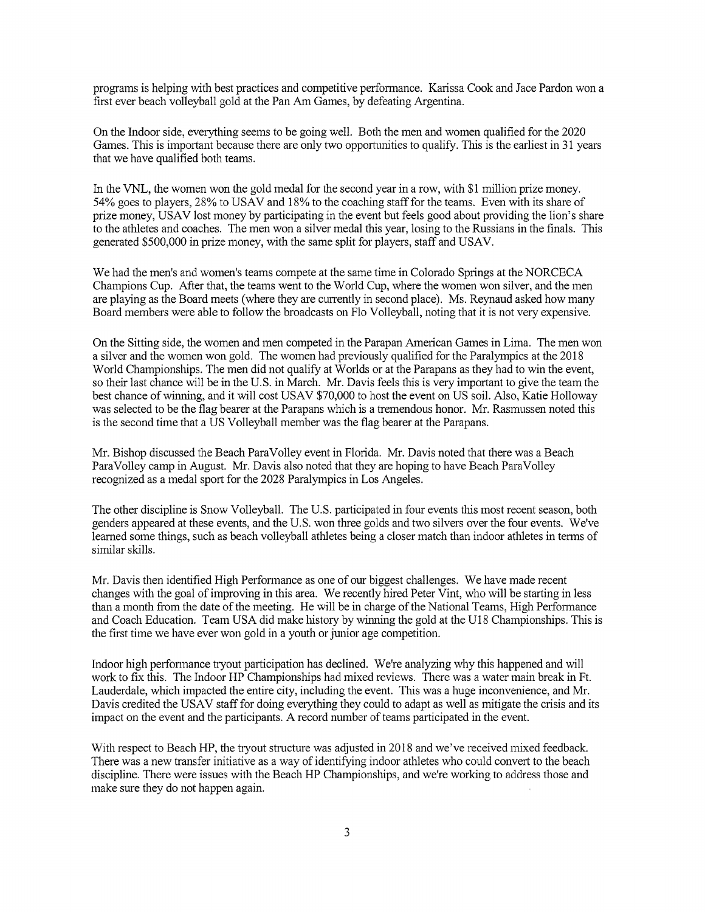programs is helping with best practices and competitive performance. Karissa Cook and Jace Pardon won a first ever beach volleyball gold at the Pan Am Games, by defeating Argentina.

On the Indoor side, everything seems to be going well. Both the men and women qualified for the 2020 Games. This is important because there are only two opportunities to qualify. This is the earliest in 31 years that we have qualified both teams.

In the VNL, the women won the gold medal for the second year in <sup>a</sup> row, with \$1 million prize money. 54% goes to players, 28% to USAV and 18% to the coaching staff for the teams. Even with its share of prize money, USAV lost money by participating in the event but feels good about providing the lion's share to the athletes and coaches. The men won a silver medal this year, losing to the Russians in the finals. This generated \$500,000 in prize money, with the same split for players, staff and USAV.

We had the men's and women's teams compete at the same time in Colorado Springs at the NORCECA Champions Cup. After that, the teams went to the World Cup, where the women won silver, and the men are playing as the Board meets (where they are currently in second place). Ms. Reynaud asked how many Board members were able to follow the broadcasts on Flo Volleyball, noting that it is not very expensive.

On the Sitting side, the women and men competed in the Parapan American Games in Lima. The men won <sup>a</sup> silver and the women won gold. The women had previously qualified for the Paralyinpics at the 2018 World Championships. The men did not qualify at Worlds or at the Parapans as they had to win the event, so their last chance will be in the U.S. in March. Mr. Davis feels this is very important to give the team the best chance of winning, and it will cost USAV \$70,000 to host the event on US soil. Also, Katie Holloway was selected to be the flag bearer at the Parapans which is <sup>a</sup> tremendous honor. Mr. Rasmussen noted this is the second time that a US Volleyball member was the flag bearer at the Parapans.

Mr. Bishop discussed the Beach ParaVolley event in Florida. Mr. Davis noted that there was a Beach ParaVolley camp in August. Mr. Davis also noted that they are hoping to have Beach ParaVolley recognized as a medal sport for the 2028 Paralympics in Los Angeles.

The other discipline is Snow Volleyball. The U.S. participated in four events this most recent season, both genders appeared at these events, and the U.S. won three golds and two silvers over the four events. We've learned some things, such as beach volleyball athletes being <sup>a</sup> closer match than indoor athletes in terms of similar skills.

Mr. Davis then identified High Performance as one of our biggest challenges. We have made recent changes with the goal of improving in this area. We recently hired Peter Vint, who will be starting in less than <sup>a</sup> month from the date of the meeting. He will be in charge of the National Teams, High Performance and Coach Education. Team USA did make history by winning the gold at the U18 Championships. This is the first time we have ever won gold in a youth or junior age competition.

Indoor high perfonnance tryout participation has declined. We're analyzing why this happened and will work to fix this. The Indoor HP Championships had mixed reviews. There was <sup>a</sup> water main break in Ft. Lauderdale, which impacted the entire city, including the event. This was a huge inconvenience, and Mr. Davis credited the USAV staff for doing everything they could to adapt as well as mitigate the crisis and its impact on the event and the participants. A record number of teams participated in the event.

With respect to Beach HP, the tryout structure was adjusted in 2018 and we've received mixed feedback. There was a new transfer initiative as a way of identifying indoor athletes who could convert to the beach discipline. There were issues with the Beach HP Championships, and we're working to address those and make sure they do not happen again.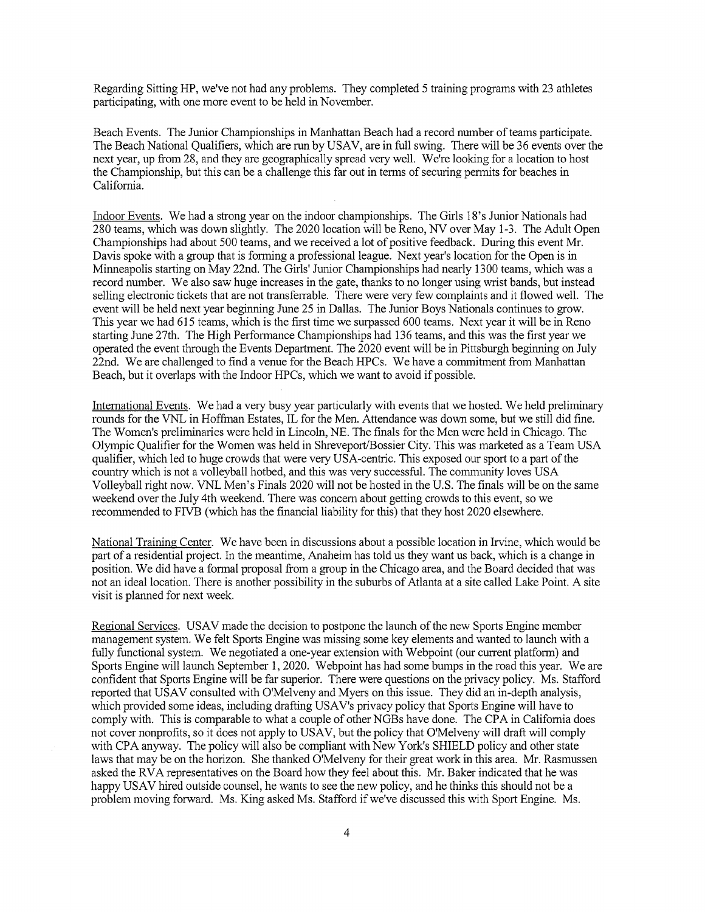Regarding Sitting HP, we've not had any problems. They completed 5 training programs with 23 athletes participating, with one more event to be held in November.

Beach Events. The Junior Championships in Manhattan Beach had <sup>a</sup> record number of teams participate. The Beach National Qualifiers, which are run by USAV, are in full swing. There will be 36 events over the next year, up from 28, and they are geographically spread very well. We're looking for a location to host the Championship, but this can be <sup>a</sup> challenge this far out in terms of securing permits for beaches in California.

Indoor Events. We had a strong year on the indoor championships. The Girls 18's Junior Nationals had 280 teams, which was down slightly. The 2020 location will be Reno, NV over May 1-3. The Adult Open Championships had about 500 teams, and we received <sup>a</sup> lot of positive feedback. During this event Mr. Davis spoke with a group that is forming a professional league. Next year's location for the Open is in Minneapolis starting on May 22nd. The Girls' Junior Championships had nearly 1300 teams, which was <sup>a</sup> record number. We also saw huge increases in the gate, thanks to no longer using wrist bands, but instead selling electronic tickets that are not transferrable. There were very few complaints and it flowed well. The event will be held next year beginning June 25 in Dallas. The Junior Boys Nationals continues to grow. This year we had 615 teams, which is the first time we surpassed 600 teams. Next year it will be in Reno starting June 27th. The High Performance Championships had 136 teams, and this was the first year we operated the event through the Events Department. The 2020 event will be in Pittsburgh beginning on July 22nd. We are challenged to find <sup>a</sup> venue for the Beach HPCs. We have <sup>a</sup> commitment from Manhattan Beach, but it overlaps with the Indoor HPCs, which we want to avoid if possible.

Intemational Events. We had <sup>a</sup> very busy year particularly with events that we hosted. We held preliminary rounds for the VNL in Hoffman Estates, IL for the Men. Attendance was down some, but we still did fine. The Women's preliminaries were held in Lincoln, NE. The finals for the Men were held in Chicago. The Olympic Qualifier for the Women was held in Shreveport/Bossier City. This was marketed as <sup>a</sup> Team USA qualifier, which led to huge crowds that were very USA-centric. This exposed our sport to <sup>a</sup> part of the country which is not a volleyball hotbed, and this was very successful. The community loves USA Volleyball right now. VNL Men's Finals 2020 will not be hosted in the U.S. The finals will be on the same weekend over the July 4th weekend. There was concern about getting crowds to this event, so we recommended to FIVB (which has the financial liability for this) that they host 2020 elsewhere.

National Training Center. We have been in discussions about <sup>a</sup> possible location in Irvine, which would be part of <sup>a</sup> residential project. In the meantime, Anaheim has told us they want us back, which is <sup>a</sup> change in position. We did have a formal proposal from a group in the Chicago area, and the Board decided that was not an ideal location. There is another possibility in the suburbs of Atlanta at a site called Lake Point. A site visit is planned for next week.

Regional Services. USAV made the decision to postpone the launch of the new Sports Engine member management system. We felt Sports Engine was missing some key elements and wanted to launch with <sup>a</sup> fully functional system. We negotiated a one-year extension with Webpoint (our current platform) and Sports Engine will launch September 1, 2020. Webpoint has had some bumps in the road this year. We are confident that Sports Engine will be far superior. There were questions on the privacy policy. Ms. Stafford reported that USAV consulted with O'Melveny and Myers on this issue. They did an in-depth analysis, which provided some ideas, including drafting USAV's privacy policy that Sports Engine will have to comply with. This is comparable to what <sup>a</sup> couple of other NGBs have done. The CPA in California does not cover nonprofits, so it does not apply to USAV, but the policy that O'Melveny will draft will comply with CPA anyway. The policy will also be compliant with New York's SHIELD policy and other state laws that may be on the horizon. She thanked O'Melveny for their great work in this area. Mr. Rasmussen asked the RVA representatives on the Board how they feel about this. Mr. Baker indicated that he was happy USAV hired outside counsel, he wants to see the new policy, and he thinks this should not be <sup>a</sup> problem moving forward. Ms. King asked Ms. Stafford if we've discussed this with Sport Engine. Ms.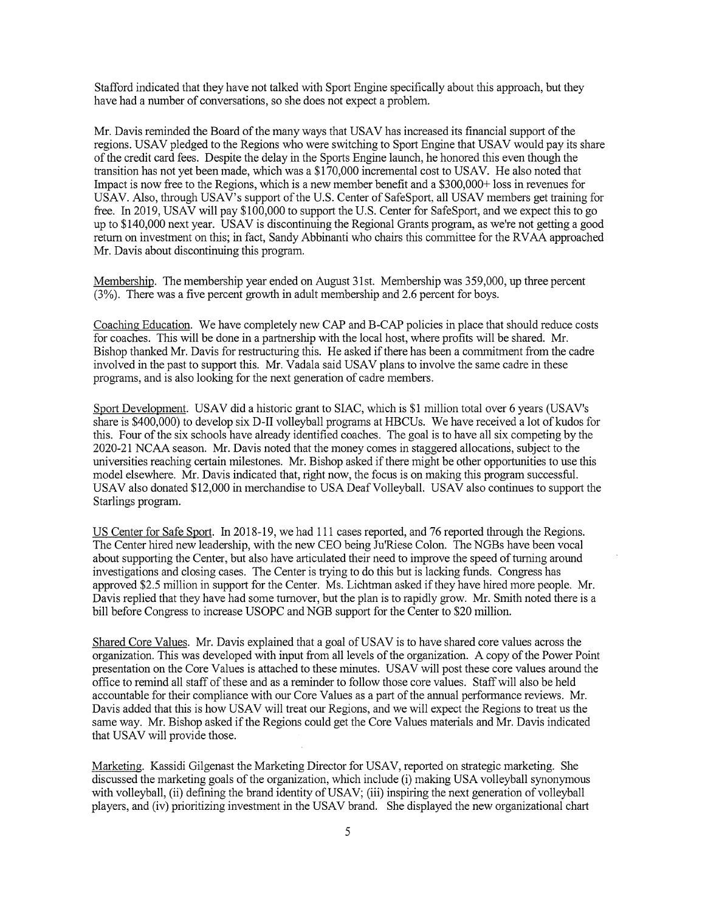Stafford indicated that they have not talked with Sport Engine specifically about this approach, but they have had <sup>a</sup> number of conversations, so she does not expect <sup>a</sup> problem.

Mr. Davis reminded the Board of the many ways that USAV has increased its financial support of the regions. USAV pledged to the Regions who were switching to Sport Engine that USAV would pay its share of the credit card fees. Despite the delay in the Sports Engine launch, he honored this even though the transition has not yet been made, which was <sup>a</sup> \$170,000 incremental cost to USAV. He also noted that Impact is now free to the Regions, which is a new member benefit and <sup>a</sup> \$3 00,000+ loss in revenues for USAV. Also, through USAV's support of the U.S. Center of SafeSport, all USAV members get training for free. In 2019, USAV will pay \$100,000 to support the U.S. Center for SafeSport, and we expect this to go up to \$140,000 next year. USAV is discontinuing the Regional Grants program, as we're not getting <sup>a</sup> good return on investment on this; in fact, Sandy Abbinanti who chairs this committee for the RVAA approached Mr. Davis about discontinuing this program.

Membership. The membership year ended on August 31st. Membership was 359,000, up three percent (3%). There was <sup>a</sup> five percent growth in adult membership and 2.6 percent for boys.

Coaching Education. We have completely new CAP and B-CAP policies in place that should reduce costs for coaches. This will be done in <sup>a</sup> partnership with the local host, where profits will be shared. Mr. Bishop thanked Mr. Davis for restructuring this. He asked if there has been <sup>a</sup> commitment from the cadre involved in the past to support this. Mr. Vadala said USAV plans to involve the same cadre in these programs, and is also looking for the next generation of cadre members.

Sport Development. USAV did <sup>a</sup> historic grant to SIAC, which is \$1 million total over 6 years (USAV's share is \$400,000) to develop six D-II volleyball programs at HBCUs. We have received <sup>a</sup> lot of kudos for this. Four of the six schools have already identified coaches. The goal is to have all six competing by the 2020-21 NCAA season. Mr. Davis noted that the money comes in staggered allocations, subject to the universities reaching certain milestones. Mr. Bishop asked ifthere might be other opportunities to use this model elsewhere. Mr. Davis indicated that, right now, the focus is on making this program successful. USAV also donated \$12,000 in merchandise to USA Deaf Volleyball. USAV also continues to support the Starlings program.

US Center for Safe Sport. In 2018-19, we had 111 cases reported, and 76 reported through the Regions. The Center hired new leadership, with the new CEO being Ju'Riese Colon. The NGBs have been vocal about supporting the Center, but also have articulated their need to improve the speed of turning around investigations and closing cases. The Center is trying to do this but is lacking funds. Congress has approved \$2.5 million in support for the Center. Ms. Lichtman asked ifthey have hired more people. Mr. Davis replied that they have had some turnover, but the plan is to rapidly grow. Mr. Smith noted there is a bill before Congress to increase USOPC and NGB support for the Center to \$20 million.

Shared Core Values. Mr. Davis explained that a goal of USAV is to have shared core values across the organization. This was developed with input from all levels of the organization. A copy of the Power Point presentation on the Core Values is attached to these minutes. USAV will post these core values around the office to remind all staff of these and as <sup>a</sup> reminder to follow those core values. Staffwill also be held accountable for their compliance with our Core Values as <sup>a</sup> part of the annual performance reviews. Mr. Davis added that this is how USAV will treat our Regions, and we will expect the Regions to treat us the same way. Mr. Bishop asked if the Regions could get the Core Values materials and Mr. Davis indicated that USAV will provide those.

Marketing. Kassidi Gilgenast the Marketing Director for USAV, reported on strategic marketing. She discussed the marketing goals of the organization, which include (i) making USA volleyball synonymous with volleyball, (ii) defining the brand identity of USAV; (iii) inspiring the next generation of volleyball players, and (iv) prioritizing investment in the USAV brand. She displayed the new organizational chart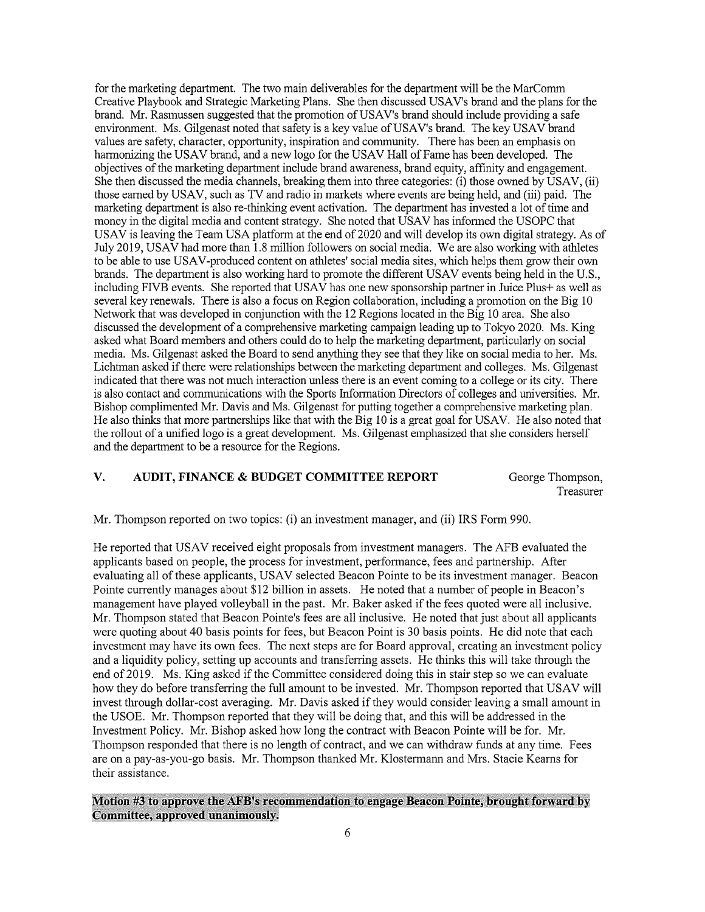for the marketing department. The two main deliverables for the department will be the MarComm Creative Playbook and Strategic Marketing Plans. She then discussed USAV's brand and the plans for the brand. Mr. Rasmussen suggested that the promotion of USAV's brand should include providing <sup>a</sup> safe environment. Ms. Gilgenast noted that safety is <sup>a</sup> key value of USAV's brand. The key USAV brand values are safety, character, opportunity, inspiration and community. There has been an emphasis on harmonizing the USAV brand, and <sup>a</sup> new logo for the USAV Hall of Fame has been developed. The objectives of the marketing department include brand awareness, brand equity, affinity and engagement. She then discussed the media channels, breaking them into three categories: (i) those owned by USAV, (ii) those earned by USAV, such as TV and radio in markets where events are being held, and (iii) paid. The marketing department is also re-thinking event activation. The department has invested <sup>a</sup> lot of time and money in the digital media and content strategy. She noted that USAV has infonned the USOPC that USAV is leaving the Team USA platform at the end of 2020 and will develop its own digital strategy. As of July 2019, USAV had more than 1.8 million followers on social media. We are also working with athletes to be able to use USAV-produced content on athletes' social media sites, which helps them grow their own brands. The department is also working hard to promote the different USAV events being held in the U.S., including FJVB events. She reported that USAV has one new sponsorship partner in Juice Plus+ as well as several key renewals. There is also a focus on Region collaboration, including a promotion on the Big 10 Network that was developed in conjunction with the 12 Regions located in the Big 10 area. She also discussed the development of <sup>a</sup> comprehensive marketing campaign leading up to Tokyo 2020. Ms. King asked what Board members and others could do to help the marketing department, particularly on social media. Ms. Gilgenast asked the Board to send anything they see that they like on social media to her. Ms. Lichtman asked if there were relationships between the marketing department and colleges. Ms. Gilgenast indicated that there was not much interaction unless there is an event coming to a college or its city. There is also contact and communications with the Sports Information Directors of colleges and universities. Mr. Bishop complimented Mr. Davis and Ms. Gilgenast for putting together a comprehensive marketing plan. He also thinks that more partnerships like that with the Big 10 is <sup>a</sup> great goal for USAV. He also noted that the rollout of <sup>a</sup> unified logo is <sup>a</sup> great development. Ms. Gilgenast emphasized that she considers herself and the department to be a resource for the Regions.

# V. AUDIT, FINANCE & BUDGET COMMITTEE REPORT George Thompson,

Treasurer

Mr. Thompson reported on two topics: (i) an investment manager, and (ii) IRS Fonn 990.

He reported that USAV received eight proposals from investment managers. The AFB evaluated the applicants based on people, the process for investment, performance, fees and partnership. After evaluating all of these applicants, USAV selected Beacon Pointe to be its investment manager. Beacon Pointe currently manages about \$12 billion in assets. He noted that <sup>a</sup> number of people in Beacon's management have played volleyball in the past. Mr. Baker asked if the fees quoted were all inclusive. Mr. Thompson stated that Beacon Pointe's fees are all inclusive. He noted that just about all applicants were quoting about 40 basis points for fees, but Beacon Point is 30 basis points. He did note that each investment may have its own fees. The next steps are for Board approval, creating an investment policy and <sup>a</sup> liquidity policy, setting up accounts and transferring assets. He thinks this will take through the end of2019. Ms. King asked if the Committee considered doing this in stair step so we can evaluate how they do before transferring the full amount to be invested. Mr. Thompson reported that USAV will invest through dollar-cost averaging. Mr. Davis asked ifthey would consider leaving <sup>a</sup> small amount in the USOE. Mr. Thompson reported that they will be doing that, and this will be addressed in the Investment Policy. Mr. Bishop asked how long the contract with Beacon Pointe will be for. Mr. Thompson responded that there is no length of contract, and we can withdraw funds at any time. Fees are on <sup>a</sup> pay-as-you-go basis. Mr. Thompson thanked Mr. Klostermann and Mrs. Stacie Keams for their assistance.

# Motion #3 to approve the AFB's recommendation to engage Beacon Pointe, brought forward by Committee, approved unanimously.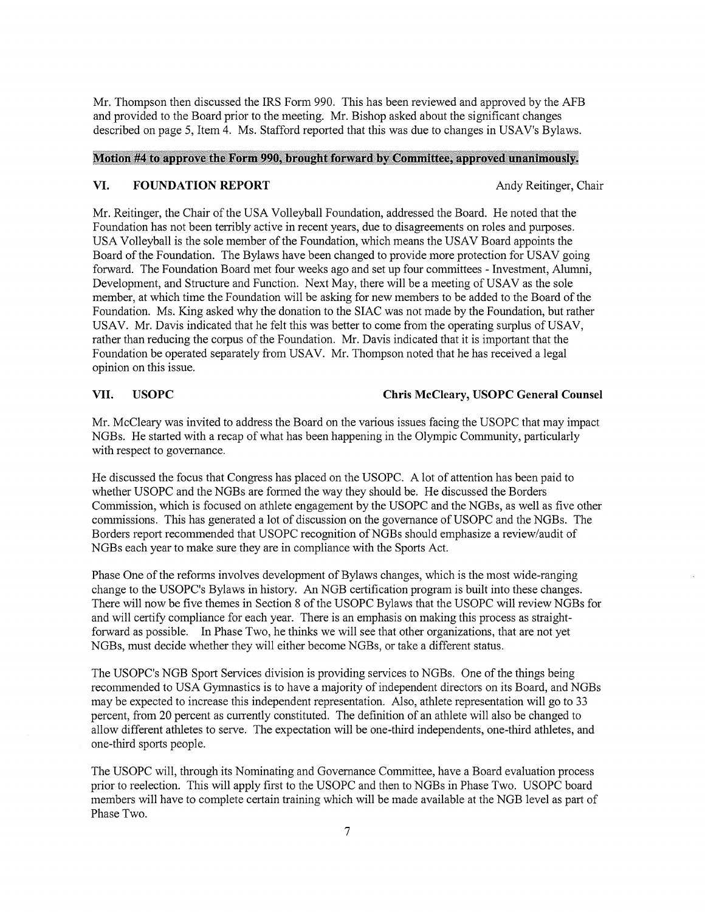Mr. Thompson then discussed the IRS Form 990. This has been reviewed and approved by the AFB and provided to the Board prior to the meeting. Mr. Bishop asked about the significant changes described on page 5, Item 4. Ms. Stafford reported that this was due to changes in USAV's Bylaws.

### Motion #4 to approve the Form 990, brought forward by Committee, approved unanimously.

### VI. FOUNDATION REPORT Andy Reitinger, Chair

Mr. Reitinger, the Chair of the USA Volleyball Foundation, addressed the Board. He noted that the Foundation has not been terribly active in recent years, due to disagreements on roles and purposes. USA Volleyball is the sole member of the Foundation, which means the USAV Board appoints the Board of the Foundation. The Bylaws have been changed to provide more protection for USAV going forward. The Foundation Board met four weeks ago and set up four committees - Investment, Alumni, Development, and Structure and Function. Next May, there will be <sup>a</sup> meeting of USAV as the sole member, at which time the Foundation will be asking for new members to be added to the Board of the Foundation. Ms. King asked why the donation to the SIAC was not made by the Foundation, but rather USAV. Mr. Davis indicated that he felt this was better to come from the operating surplus of USAV, rather than reducing the corpus of the Foundation. Mr. Davis indicated that it is important that the Foundation be operated separately from USAV. Mr. Thompson noted that he has received a legal opinion on this issue.

# VII. USOPC Chris McCleary, USOPC General Counsel

Mr. McCleary was invited to address the Board on the various issues facing the USOPC that may impact NGBs. He started with <sup>a</sup> recap of what has been happening in the Olympic Community, particularly with respect to governance.

He discussed the focus that Congress has placed on the USOPC. A lot of attention has been paid to whether USOPC and the NGBs are formed the way they should be. He discussed the Borders Commission, which is focused on athlete engagement by the USOPC and the NGBs, as well as five other commissions. This has generated <sup>a</sup> lot of discussion on the governance of USOPC and the NGBs. The Borders report recommended that USOPC recognition of NGBs should emphasize a review/audit of NGBs each year to make sure they are in compliance with the Sports Act.

Phase One of the reforms involves development of Bylaws changes, which is the most wide-ranging change to the USOPC's Bylaws in history. An NGB certification program is built into these changes. There will now be five themes in Section <sup>8</sup> of the USOPC Bylaws that the USOPC will review NGBs for and will certify compliance for each year. There is an emphasis on making this process as straight forward as possible. In Phase Two, he thinks we will see that other organizations, that are not yet NGBs, must decide whether they will either become NGBs, or take <sup>a</sup> different status.

The USOPC's NGB Sport Services division is providing services to NGBs. One of the things being recommended to USA Gymnastics is to have <sup>a</sup> majority of independent directors on its Board, and NGBs may be expected to increase this independent representation. Also, athlete representation will go to 33 percent, from 20 percent as currently constituted. The definition of an athlete will also be changed to allow different athletes to serve. The expectation will be one-third independents, one-third athletes, and one-third sports people.

The USOPC will, through its Nominating and Governance Committee, have <sup>a</sup> Board evaluation process prior to reelection. This will apply first to the USOPC and then to NGBs in Phase Two. USOPC board members will have to complete certain training which will be made available at the NGB level as part of Phase Two.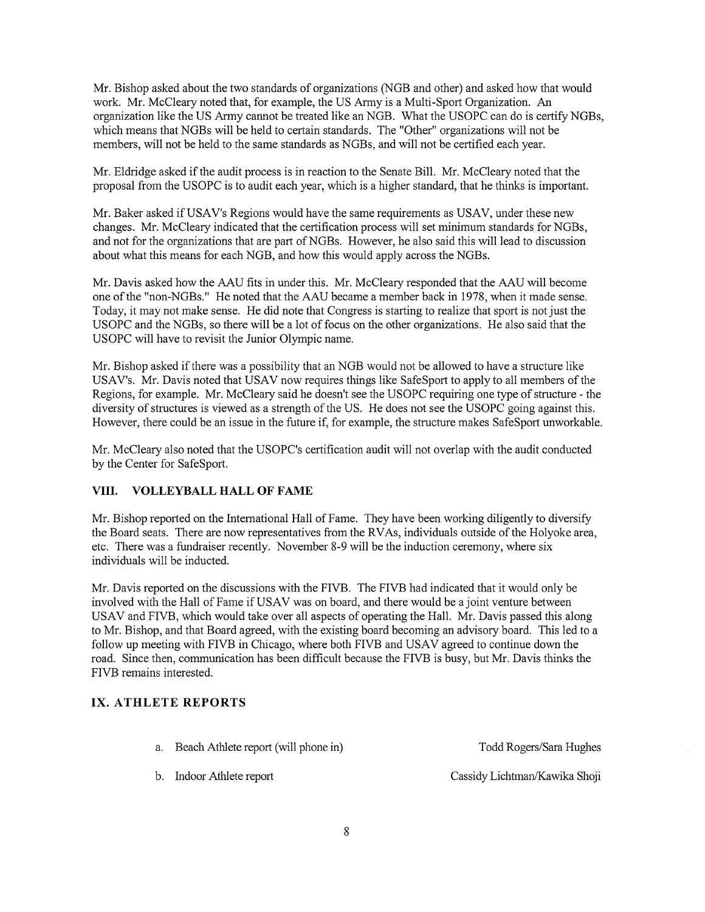Mr. Bishop asked about the two standards of organizations (NGB and other) and asked how that would work. Mr. McCleary noted that, for example, the US Army is a Multi-Sport Organization. An organization like the US Army cannot be treated like an NGB. What the USOPC can do is certify NGBs, which means that NGBs will be held to certain standards, The "Other" organizations will not be members, will not be held to the same standards as NGBs, and will not be certified each year.

Mr. Eldridge asked if the audit process is in reaction to the Senate Bill. Mr. McCleary noted that the proposal from the USOPC is to audit each year, which is <sup>a</sup> higher standard, that he thinks is important.

Mr. Baker asked if USAV's Regions would have the same requirements as USAV, under these new changes. Mr. McCleary indicated that the certification process will set minimum standards for NGBs, and not for the organizations that are part of NGBs. However, he also said this will lead to discussion about what this means for each NGB, and how this would apply across the NGBs.

Mr. Davis asked how the AAU fits in under this. Mr. McCleary responded that the AAU will become one of the "non-NGBs." He noted that the AAU became <sup>a</sup> member back in 1978, when it made sense. Today, it may not make sense. He did note that Congress is starting to realize that sport is not just the USOPC and the NGBs, so there will be <sup>a</sup> lot of focus on the other organizations. He also said that the USOPC will have to revisit the Junior Olympic name.

Mr. Bishop asked if there was a possibility that an NGB would not be allowed to have a structure like USAV's. Mr. Davis noted that USAV now requires things like SafeSport to apply to all members of the Regions, for example. Mr. McCleary said he doesn't see the USOPC requiring one type of structure - the diversity of structures is viewed as <sup>a</sup> strength of the US. He does not see the USOPC going against this. However, there could be an issue in the future if, for example, the structure makes SafeSport unworkable.

Mr. McCleary also noted that the USOPC's certification audit will not overlap with the audit conducted by the Center for SafeSport.

# VIII. VOLLEYBALL HALL OF FAME

Mr. Bishop reported on the International Hall of Fame. They have been working diligently to diversify the Board seats. There are now representatives from the RVAs, individuals outside of the Holyoke area, etc. There was <sup>a</sup> fundraiser recently. November 8-9 will be the induction ceremony, where six individuals will be inducted.

Mr. Davis reported on the discussions with the FIVB. The FIVB had indicated that it would only be involved with the Hall of Fame if USAV was on board, and there would be <sup>a</sup> joint venture between USAV and FIVB, which would take over all aspects of operating the Hall. Mr. Davis passed this along to Mr. Bishop, and that Board agreed, with the existing board becoming an advisory board. This led to a follow up meeting with FIVB in Chicago, where both FIVB and USAV agreed to continue down the road. Since then, communication has been difficult because the FIVB is busy, but Mr. Davis thinks the FIVB remains interested.

# IX. ATHLETE REPORTS

| a. Beach Athlete report (will phone in) | Todd Rogers/Sara Hughes |
|-----------------------------------------|-------------------------|
|                                         |                         |

b. Indoor Athlete report Cassidy Lichtman/Kawika Shoji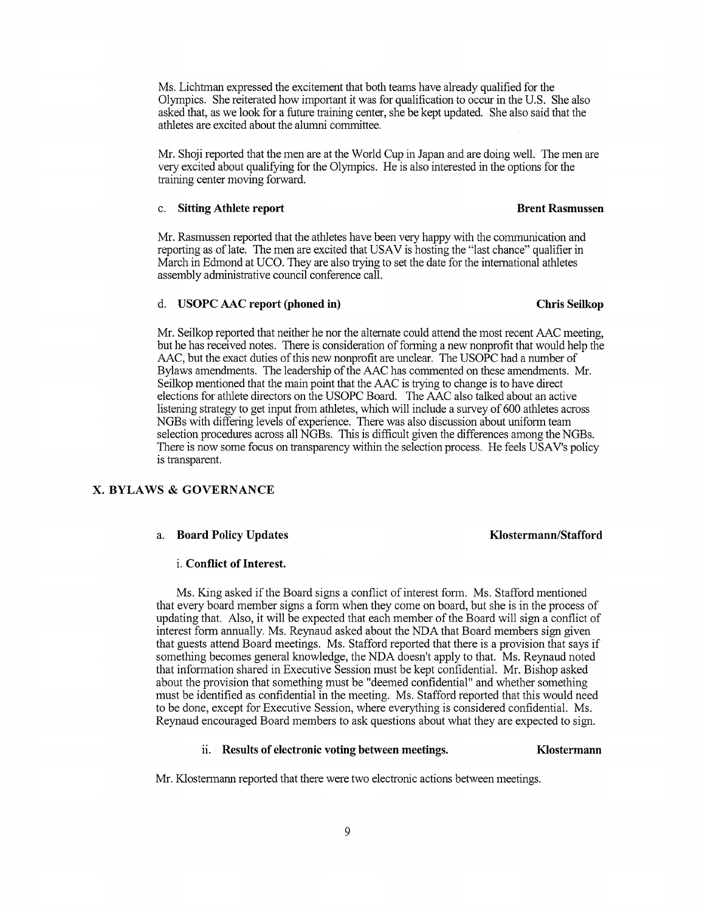Ms. Lichtman expressed the excitement that both teams have afready qualified for the Olympics. She reiterated how important it was for qualification to occur in the U.S. She also asked that, as we look for a future training center, she be kept updated. She also said that the athletes are excited about the alumni committee.

Mr. Shoji reported that the men are at the World Cup in Japan and are doing well. The men are very excited about qualifying for the Olympics. He is also interested in the options for the training center moving forward.

### c. Sitting Athlete report **Brend Rasmussen**

Mr. Rasmussen reported that the athletes have been very happy with the communication and reporting as of late. The men are excited that USAV is hosting the "last chance" qualifier in March in Edmond at UCO. They are also trying to set the date for the international athletes assembly administrative council conference call.

### d. USOPC AAC report (phoned in) Chris Seilkop

### Mr. Seilkop reported that neither he nor the alternate could attend the most recent AAC meeting, but he has received notes. There is consideration of fonning <sup>a</sup> new nonprofit that would help the AAC, but the exact duties of this new nonprofit are unclear. The USOPC had a number of Bylaws amendments. The leadership of the AAC has commented on these amendments. Mr. Seilkop mentioned that the main point that the AAC is trying to change is to have direct elections for athlete directors on the USOPC Board. The AAC also talked about an active listening strategy to get input from athletes, which will include <sup>a</sup> survey of 600 athletes across NGBs with differing levels of experience. There was also discussion about uniform team selection procedures across all NGBs. This is difficult given the differences among the NGBs. There is now some focus on transparency within the selection process. He feels USAV's policy is transparent.

### X. BYLAWS & GOVERNANCE

### a. Board Policy Updates **Klostermann**/Stafford

### i. Conflict of Interest.

Ms. King asked ifthe Board signs <sup>a</sup> conflict of interest form. Ms. Stafford mentioned that every board member signs <sup>a</sup> form when they come on board, but she is in the process of updating that. Also, it will be expected that each member of the Board will sign <sup>a</sup> conflict of interest form annually. Ms. Reynaud asked about the NDA that Board members sign given that guests attend Board meetings. Ms. Stafford reported that there is <sup>a</sup> provision that says if something becomes general knowledge, the NDA doesn't apply to that. Ms. Reynaud noted that infonnation shared in Executive Session must be kept confidential. Mr. Bishop asked about the provision that something must be 'deemed confidential" and whether something must be identified as confidential in the meeting. Ms. Stafford reported that this would need to be done, except for Executive Session, where everything is considered confidential. Ms. Reynaud encouraged Board members to ask questions about what they are expected to sign.

### ii. Results of electronic voting between meetings. Klostermann

Mr. Klostermann reported that there were two electronic actions between meetings.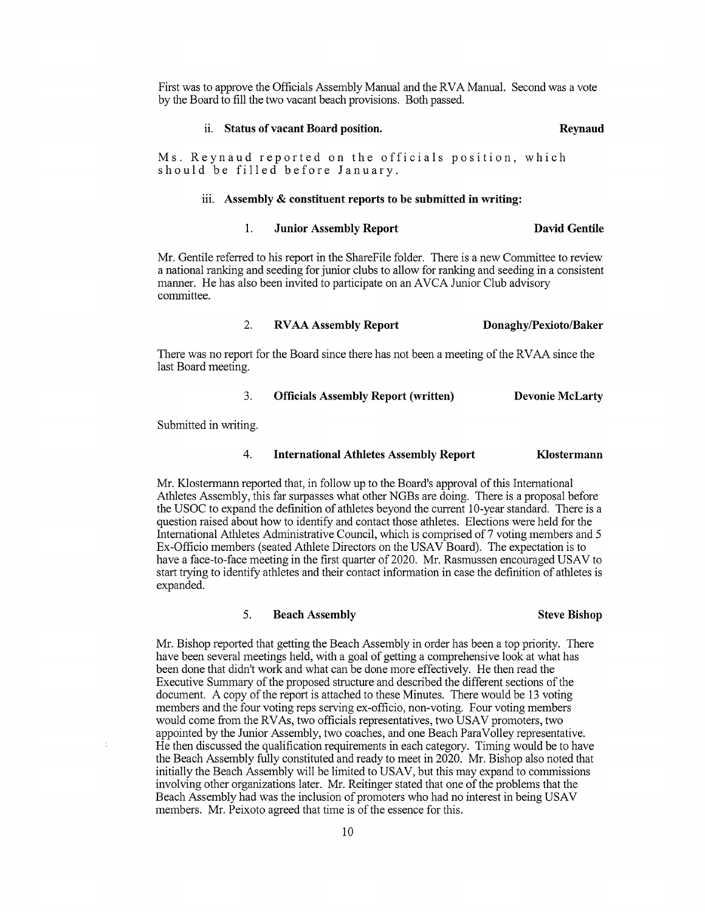First was to approve the Officials Assembly Manual and the RVA Manual. Second was <sup>a</sup> vote by the Board to fill the two vacant beach provisions. Both passed.

### ii. Status of vacant Board position. The contract of the Reynaud

Ms. Reynaud reported on the officials position, which should be filled before January.

### iii. Assembly & constituent reports to be submitted in writing:

### 1. Junior Assembly Report David Gentile

Mr. Gentile referred to his report in the ShareFile folder. There is a new Committee to review a national ranking and seeding for junior clubs to allow for ranking and seeding in a consistent manner. He has also been invited to participate on an AVCA Junior Club advisory committee.

### 2. RVAA Assembly Report Donaghy/Pexioto/Baker

There was no report for the Board since there has not been <sup>a</sup> meeting of the RVAA since the last Board meeting.

### 3. Officials Assembly Report (written) Devonie McLarty

Submitted in writing.

### 4. International Athletes Assembly Report Klostermann

Mr. Klostermann reported that, in follow up to the Board's approval of this International Athletes Assembly, this far surpasses what other NGBs are doing. There is a proposal before the USOC to expand the definition of athletes beyond the current 10-year standard. There is <sup>a</sup> question raised about how to identify and contact those athletes. Elections were held for the International Athletes Administrative Council, which is comprised of 7 voting members and <sup>5</sup> Ex-Officio members (seated Athlete Directors on the USAV Board). The expectation is to have <sup>a</sup> face-to-face meeting in the first quarter of 2020. Mr. Rasmussen encouraged USAV to start trying to identify athletes and their contact information in case the definition of athletes is expanded.

### 5. Beach Assembly Steve Bishop

Mr. Bishop reported that getting the Beach Assembly in order has been <sup>a</sup> top priority. There have been several meetings held, with <sup>a</sup> goal of getting <sup>a</sup> comprehensive look at what has been done that didn't work and what can be done more effectively. He then read the Executive Summary of the proposed structure and described the different sections of the document. A copy of the report is attached to these Minutes. There would be <sup>13</sup> voting members and the four voting reps serving ex-officio, non-voting. Four voting members would come from the RVAs, two officials representatives, two USAV promoters, two appointed by the Junior Assembly, two coaches, and one Beach ParaVolley representative. He then discussed the qualification requirements in each category. Timing would be to have the Beach Assembly frilly constituted and ready to meet in 2020. Mr. Bishop also noted that initially the Beach Assembly will be limited to USAV, but this may expand to commissions involving other organizations later. Mr. Reitinger stated that one of the problems that the Beach Assembly had was the inclusion of promoters who had no interest in being USAV members. Mr. Peixoto agreed that time is of the essence for this.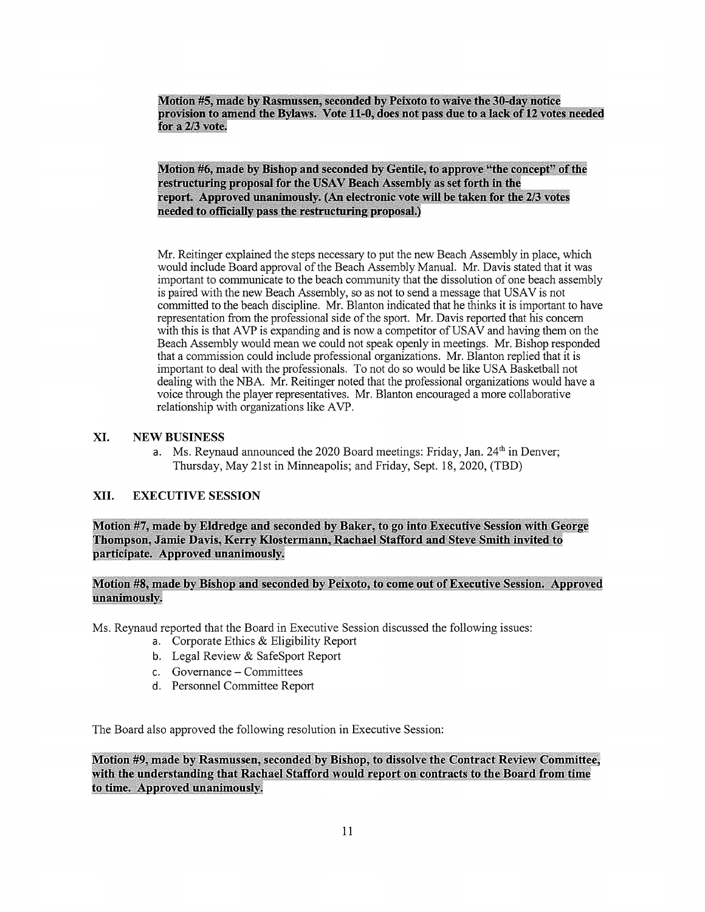Motion #5, made by Rasmussen, seconded by Peixoto to waive the 30-day notice provision to amend the Bylaws. Vote 11-0, does not pass due to a lack of 12 votes needed for a  $2/3$  vote.

Motion #6, made by Bishop and seconded by Gentile, to approve "the concept" of the restructuring proposal for the USAV Beach Assembly as set forth in the report. Approved unanimously. (An electronic vote will be taken for the 2/3 votes needed to officially pass the restructuring proposal.)

Mr. Reitinger explained the steps necessary to put the new Beach Assembly in place, which would include Board approval of the Beach Assembly Manual. Mr. Davis stated that it was important to communicate to the beach community that the dissolution of one beach assembly is paired with the new Beach Assembly, so as not to send a message that USAV is not committed to the beach discipline. Mr. Blanton indicated that he thinks it is important to have representation from the professional side of the sport. Mr. Davis reported that his concern with this is that AVP is expanding and is now a competitor of USAV and having them on the Beach Assembly would mean we could not speak openly in meetings. Mr. Bishop responded that <sup>a</sup> commission could include professional organizations. Mr. Blanton replied that it is important to deal with the professionals. To not do so would be like USA Basketball not dealing with the NBA. Mr. Reitinger noted that the professional organizations would have a voice through the player representatives. Mr. Blanton encouraged a more collaborative relationship with organizations like AVP.

# XI. NEW BUSINESS

a. Ms. Reynaud announced the 2020 Board meetings: Friday, Jan.  $24<sup>th</sup>$  in Denver; Thursday, May 21st in Minneapolis; and Friday, Sept. 18, 2020, (TBD)

# XII. EXECUTIVE SESSION

Motion #7, made by Eldredge and seconded by Baker, to go into Executive Session with George Thompson, Jamie Davis, Kerty Klostermann, Rachael Stafford and Steve Smith invited to participate. Approved unanimously.

# Motion #8, made by Bishop and seconded by Peixoto, to come out of Executive Session. Approved unanimously.

Ms. Reynaud reported that the Board in Executive Session discussed the following issues:

- a. Corporate Ethics & Eligibility Report
- b. Legal Review & SafeSport Report
- c. Governance Committees
- d. Personnel Committee Report

The Board also approved the following resolution in Executive Session:

Motion #9, made by Rasmussen, seconded by Bishop, to dissolve the Contract Review Committee, with the understanding that Rachael Stafford would report on contracts to the Board from time to time. Approved unanimously.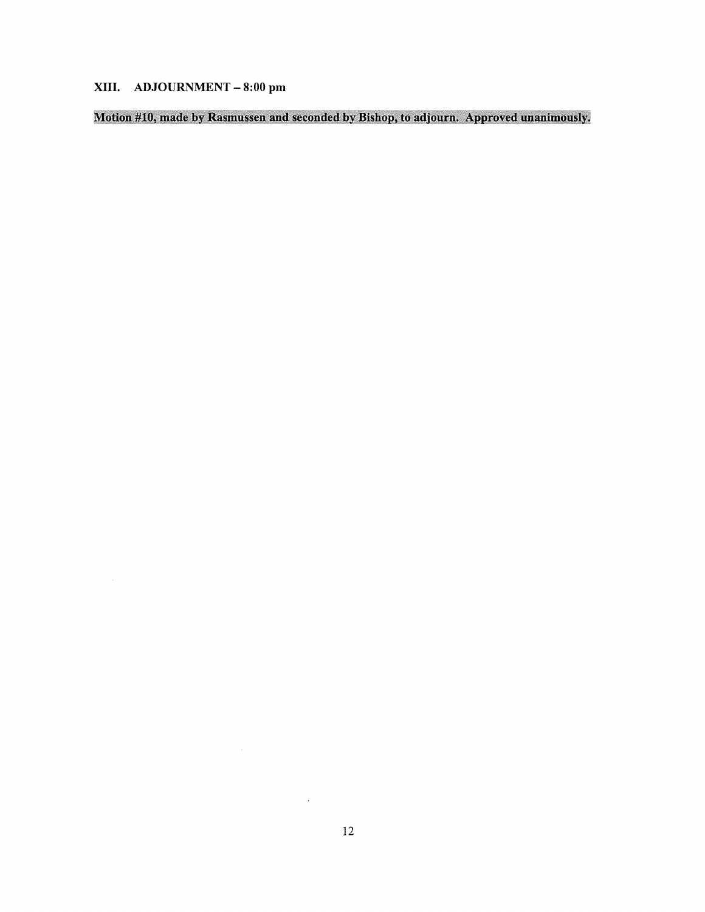# XIII. ADJOURNMENT -8:00 pm

Motion #10, made by Rasmussen and seconded by Bishop, to adjourn. Approved unanimously.

 $\mathcal{L}^{\text{max}}_{\text{max}}$